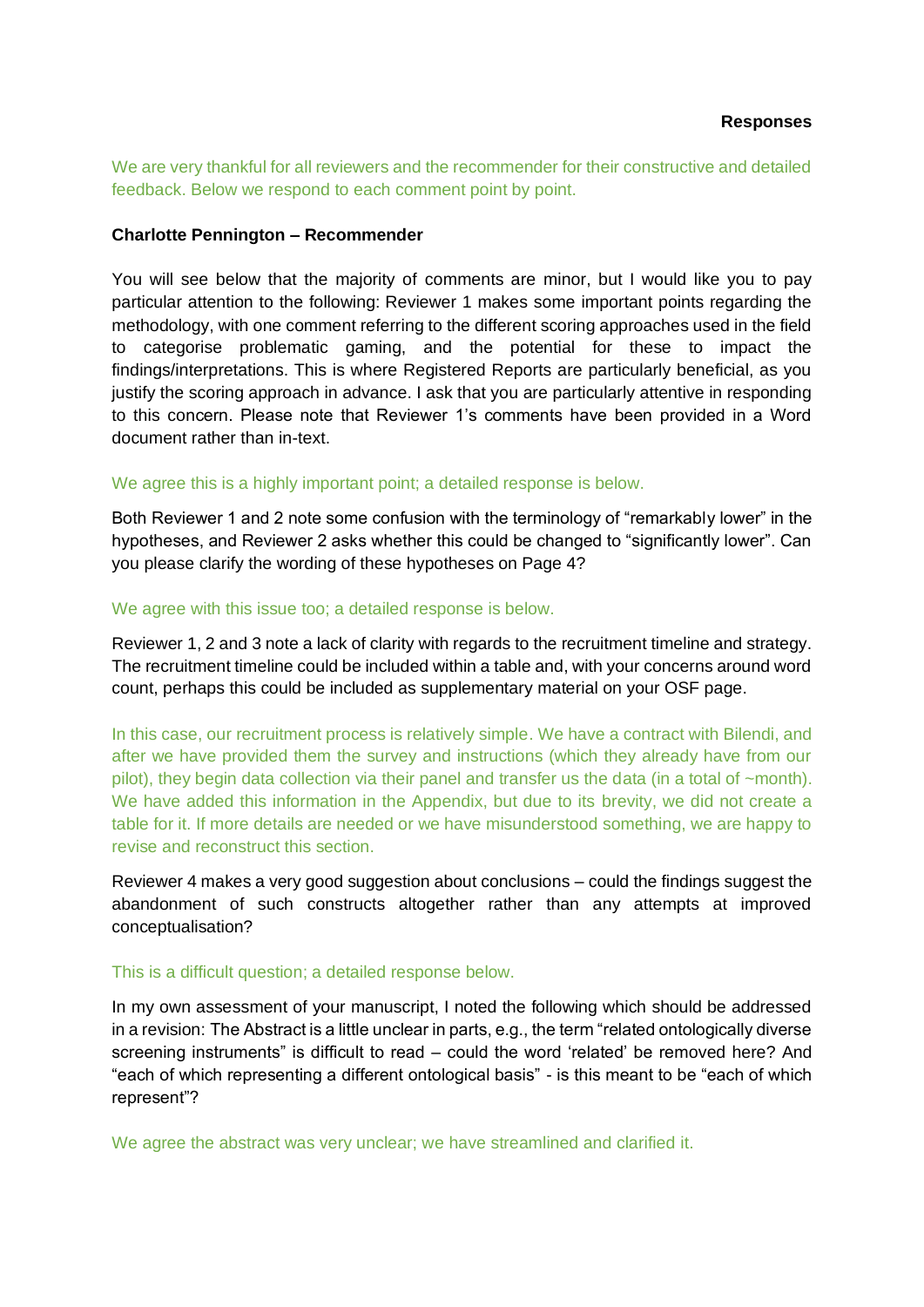We are very thankful for all reviewers and the recommender for their constructive and detailed feedback. Below we respond to each comment point by point.

### **Charlotte Pennington – Recommender**

You will see below that the majority of comments are minor, but I would like you to pay particular attention to the following: Reviewer 1 makes some important points regarding the methodology, with one comment referring to the different scoring approaches used in the field to categorise problematic gaming, and the potential for these to impact the findings/interpretations. This is where Registered Reports are particularly beneficial, as you justify the scoring approach in advance. I ask that you are particularly attentive in responding to this concern. Please note that Reviewer 1's comments have been provided in a Word document rather than in-text.

### We agree this is a highly important point; a detailed response is below.

Both Reviewer 1 and 2 note some confusion with the terminology of "remarkably lower" in the hypotheses, and Reviewer 2 asks whether this could be changed to "significantly lower". Can you please clarify the wording of these hypotheses on Page 4?

### We agree with this issue too; a detailed response is below.

Reviewer 1, 2 and 3 note a lack of clarity with regards to the recruitment timeline and strategy. The recruitment timeline could be included within a table and, with your concerns around word count, perhaps this could be included as supplementary material on your OSF page.

In this case, our recruitment process is relatively simple. We have a contract with Bilendi, and after we have provided them the survey and instructions (which they already have from our pilot), they begin data collection via their panel and transfer us the data (in a total of ~month). We have added this information in the Appendix, but due to its brevity, we did not create a table for it. If more details are needed or we have misunderstood something, we are happy to revise and reconstruct this section.

Reviewer 4 makes a very good suggestion about conclusions – could the findings suggest the abandonment of such constructs altogether rather than any attempts at improved conceptualisation?

## This is a difficult question; a detailed response below.

In my own assessment of your manuscript, I noted the following which should be addressed in a revision: The Abstract is a little unclear in parts, e.g., the term "related ontologically diverse screening instruments" is difficult to read – could the word 'related' be removed here? And "each of which representing a different ontological basis" - is this meant to be "each of which represent"?

We agree the abstract was very unclear; we have streamlined and clarified it.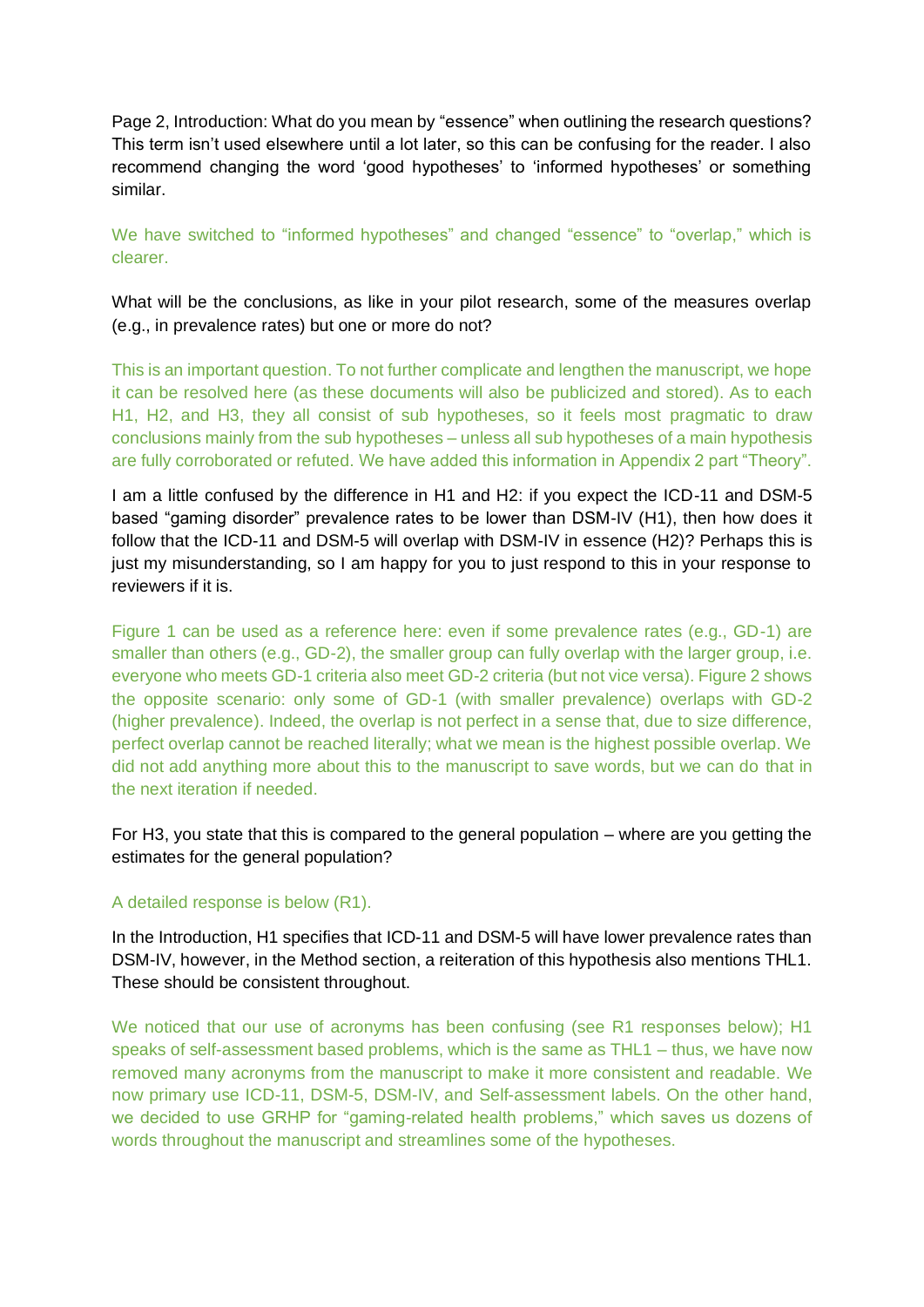Page 2, Introduction: What do you mean by "essence" when outlining the research questions? This term isn't used elsewhere until a lot later, so this can be confusing for the reader. I also recommend changing the word 'good hypotheses' to 'informed hypotheses' or something similar.

We have switched to "informed hypotheses" and changed "essence" to "overlap," which is clearer.

What will be the conclusions, as like in your pilot research, some of the measures overlap (e.g., in prevalence rates) but one or more do not?

This is an important question. To not further complicate and lengthen the manuscript, we hope it can be resolved here (as these documents will also be publicized and stored). As to each H1, H2, and H3, they all consist of sub hypotheses, so it feels most pragmatic to draw conclusions mainly from the sub hypotheses – unless all sub hypotheses of a main hypothesis are fully corroborated or refuted. We have added this information in Appendix 2 part "Theory".

I am a little confused by the difference in H1 and H2: if you expect the ICD-11 and DSM-5 based "gaming disorder" prevalence rates to be lower than DSM-IV (H1), then how does it follow that the ICD-11 and DSM-5 will overlap with DSM-IV in essence (H2)? Perhaps this is just my misunderstanding, so I am happy for you to just respond to this in your response to reviewers if it is.

Figure 1 can be used as a reference here: even if some prevalence rates (e.g., GD-1) are smaller than others (e.g., GD-2), the smaller group can fully overlap with the larger group, i.e. everyone who meets GD-1 criteria also meet GD-2 criteria (but not vice versa). Figure 2 shows the opposite scenario: only some of GD-1 (with smaller prevalence) overlaps with GD-2 (higher prevalence). Indeed, the overlap is not perfect in a sense that, due to size difference, perfect overlap cannot be reached literally; what we mean is the highest possible overlap. We did not add anything more about this to the manuscript to save words, but we can do that in the next iteration if needed.

For H3, you state that this is compared to the general population – where are you getting the estimates for the general population?

## A detailed response is below (R1).

In the Introduction, H1 specifies that ICD-11 and DSM-5 will have lower prevalence rates than DSM-IV, however, in the Method section, a reiteration of this hypothesis also mentions THL1. These should be consistent throughout.

We noticed that our use of acronyms has been confusing (see R1 responses below); H1 speaks of self-assessment based problems, which is the same as THL1 – thus, we have now removed many acronyms from the manuscript to make it more consistent and readable. We now primary use ICD-11, DSM-5, DSM-IV, and Self-assessment labels. On the other hand, we decided to use GRHP for "gaming-related health problems," which saves us dozens of words throughout the manuscript and streamlines some of the hypotheses.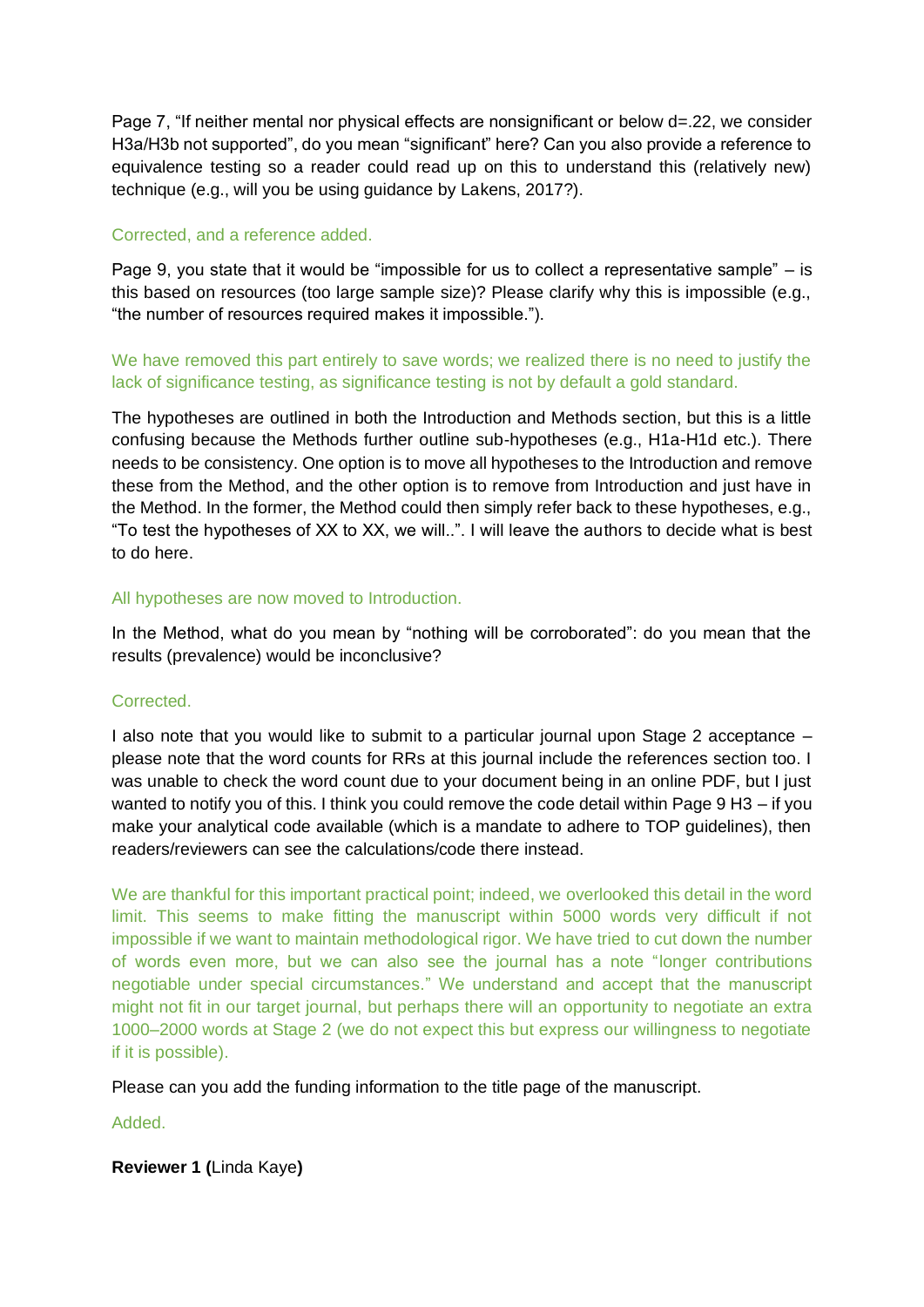Page 7, "If neither mental nor physical effects are nonsignificant or below d=.22, we consider H3a/H3b not supported", do you mean "significant" here? Can you also provide a reference to equivalence testing so a reader could read up on this to understand this (relatively new) technique (e.g., will you be using guidance by Lakens, 2017?).

## Corrected, and a reference added.

Page 9, you state that it would be "impossible for us to collect a representative sample" – is this based on resources (too large sample size)? Please clarify why this is impossible (e.g., "the number of resources required makes it impossible.").

We have removed this part entirely to save words; we realized there is no need to justify the lack of significance testing, as significance testing is not by default a gold standard.

The hypotheses are outlined in both the Introduction and Methods section, but this is a little confusing because the Methods further outline sub-hypotheses (e.g., H1a-H1d etc.). There needs to be consistency. One option is to move all hypotheses to the Introduction and remove these from the Method, and the other option is to remove from Introduction and just have in the Method. In the former, the Method could then simply refer back to these hypotheses, e.g., "To test the hypotheses of XX to XX, we will..". I will leave the authors to decide what is best to do here.

## All hypotheses are now moved to Introduction.

In the Method, what do you mean by "nothing will be corroborated": do you mean that the results (prevalence) would be inconclusive?

## Corrected.

I also note that you would like to submit to a particular journal upon Stage 2 acceptance – please note that the word counts for RRs at this journal include the references section too. I was unable to check the word count due to your document being in an online PDF, but I just wanted to notify you of this. I think you could remove the code detail within Page 9 H3 – if you make your analytical code available (which is a mandate to adhere to TOP guidelines), then readers/reviewers can see the calculations/code there instead.

We are thankful for this important practical point; indeed, we overlooked this detail in the word limit. This seems to make fitting the manuscript within 5000 words very difficult if not impossible if we want to maintain methodological rigor. We have tried to cut down the number of words even more, but we can also see the journal has a note "longer contributions negotiable under special circumstances." We understand and accept that the manuscript might not fit in our target journal, but perhaps there will an opportunity to negotiate an extra 1000–2000 words at Stage 2 (we do not expect this but express our willingness to negotiate if it is possible).

Please can you add the funding information to the title page of the manuscript.

Added.

**Reviewer 1 (**Linda Kaye**)**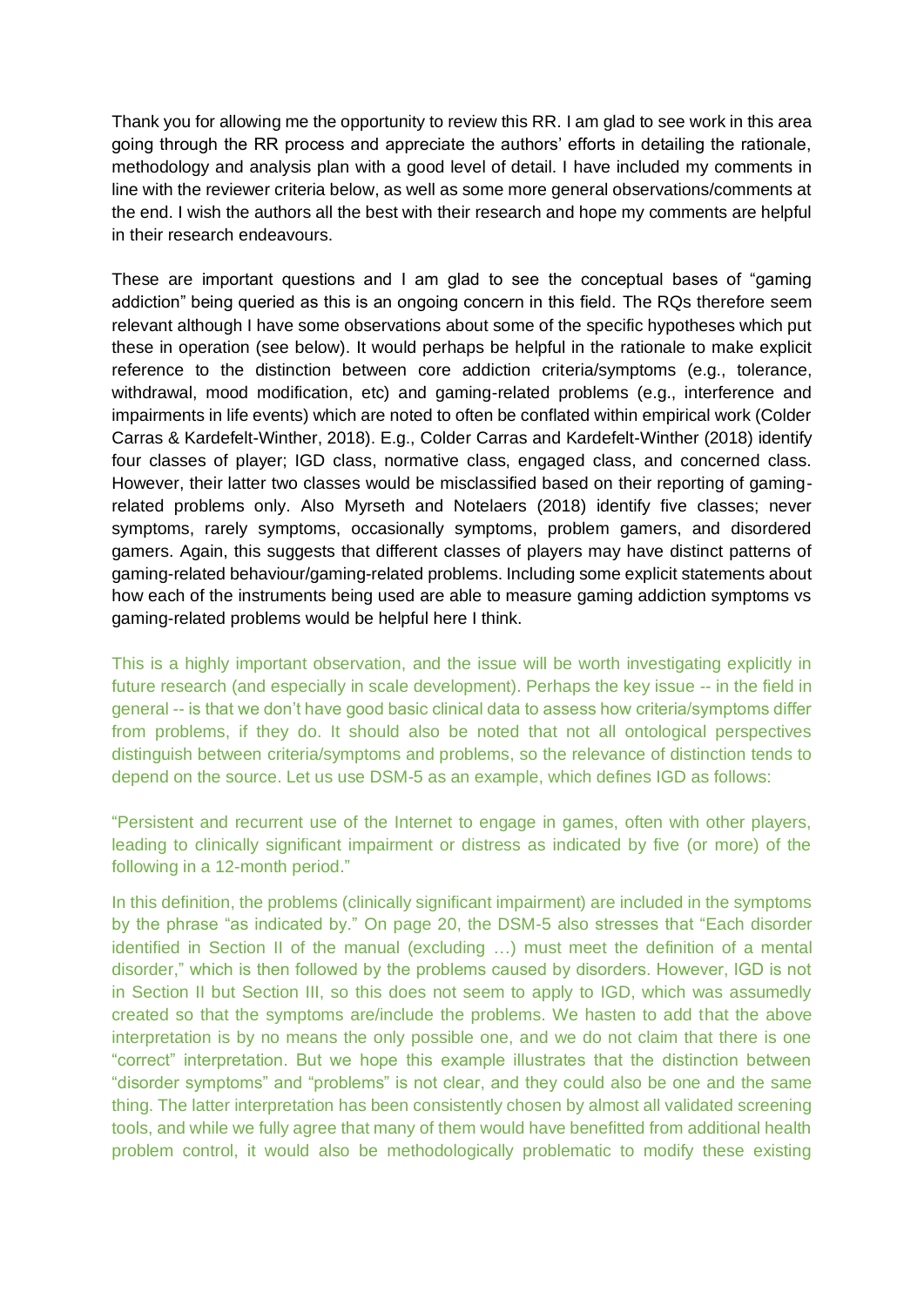Thank you for allowing me the opportunity to review this RR. I am glad to see work in this area going through the RR process and appreciate the authors' efforts in detailing the rationale, methodology and analysis plan with a good level of detail. I have included my comments in line with the reviewer criteria below, as well as some more general observations/comments at the end. I wish the authors all the best with their research and hope my comments are helpful in their research endeavours.

These are important questions and I am glad to see the conceptual bases of "gaming addiction" being queried as this is an ongoing concern in this field. The RQs therefore seem relevant although I have some observations about some of the specific hypotheses which put these in operation (see below). It would perhaps be helpful in the rationale to make explicit reference to the distinction between core addiction criteria/symptoms (e.g., tolerance, withdrawal, mood modification, etc) and gaming-related problems (e.g., interference and impairments in life events) which are noted to often be conflated within empirical work (Colder Carras & Kardefelt-Winther, 2018). E.g., Colder Carras and Kardefelt-Winther (2018) identify four classes of player; IGD class, normative class, engaged class, and concerned class. However, their latter two classes would be misclassified based on their reporting of gamingrelated problems only. Also Myrseth and Notelaers (2018) identify five classes; never symptoms, rarely symptoms, occasionally symptoms, problem gamers, and disordered gamers. Again, this suggests that different classes of players may have distinct patterns of gaming-related behaviour/gaming-related problems. Including some explicit statements about how each of the instruments being used are able to measure gaming addiction symptoms vs gaming-related problems would be helpful here I think.

This is a highly important observation, and the issue will be worth investigating explicitly in future research (and especially in scale development). Perhaps the key issue -- in the field in general -- is that we don't have good basic clinical data to assess how criteria/symptoms differ from problems, if they do. It should also be noted that not all ontological perspectives distinguish between criteria/symptoms and problems, so the relevance of distinction tends to depend on the source. Let us use DSM-5 as an example, which defines IGD as follows:

"Persistent and recurrent use of the Internet to engage in games, often with other players, leading to clinically significant impairment or distress as indicated by five (or more) of the following in a 12-month period."

In this definition, the problems (clinically significant impairment) are included in the symptoms by the phrase "as indicated by." On page 20, the DSM-5 also stresses that "Each disorder identified in Section II of the manual (excluding …) must meet the definition of a mental disorder," which is then followed by the problems caused by disorders. However, IGD is not in Section II but Section III, so this does not seem to apply to IGD, which was assumedly created so that the symptoms are/include the problems. We hasten to add that the above interpretation is by no means the only possible one, and we do not claim that there is one "correct" interpretation. But we hope this example illustrates that the distinction between "disorder symptoms" and "problems" is not clear, and they could also be one and the same thing. The latter interpretation has been consistently chosen by almost all validated screening tools, and while we fully agree that many of them would have benefitted from additional health problem control, it would also be methodologically problematic to modify these existing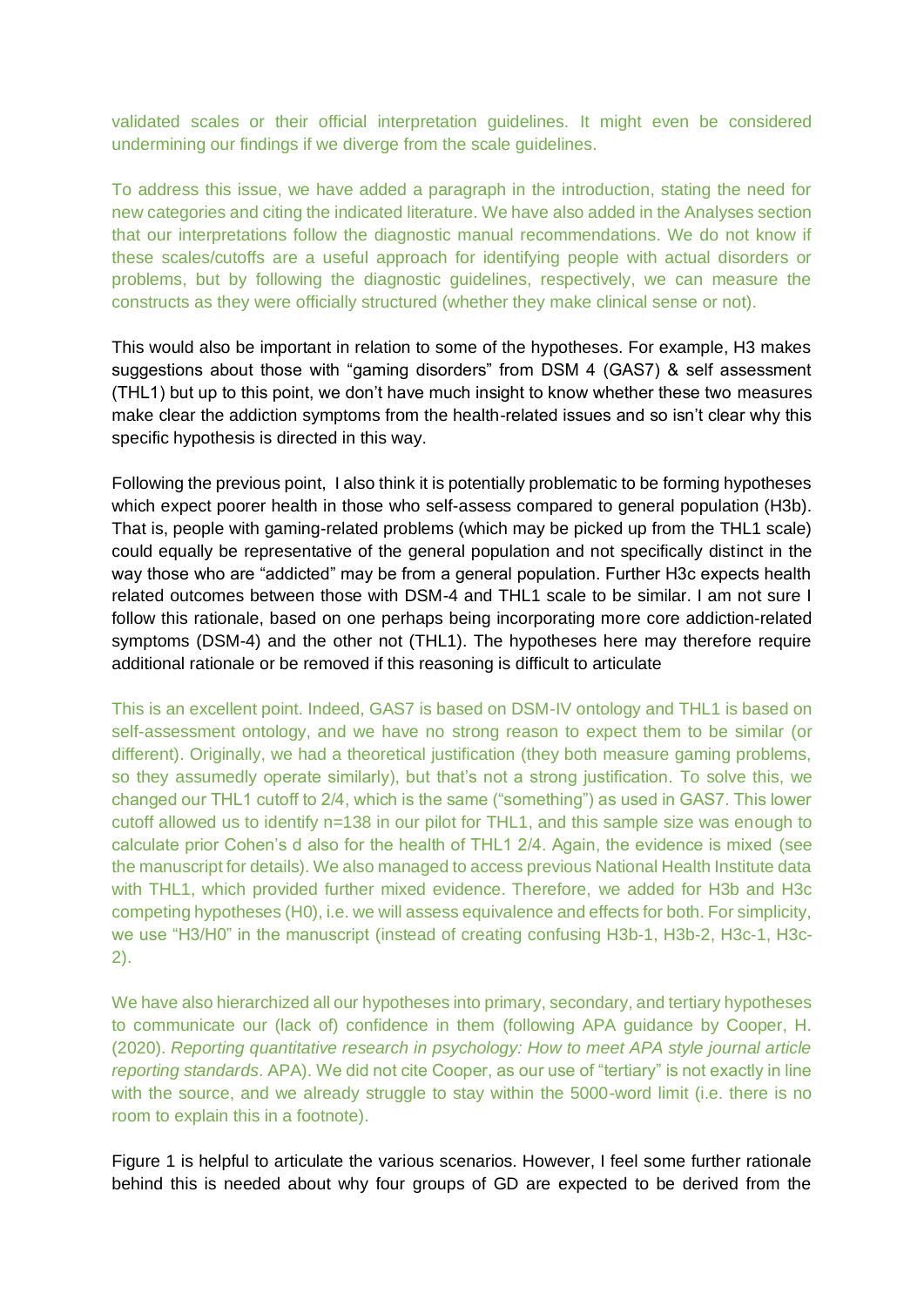validated scales or their official interpretation guidelines. It might even be considered undermining our findings if we diverge from the scale guidelines.

To address this issue, we have added a paragraph in the introduction, stating the need for new categories and citing the indicated literature. We have also added in the Analyses section that our interpretations follow the diagnostic manual recommendations. We do not know if these scales/cutoffs are a useful approach for identifying people with actual disorders or problems, but by following the diagnostic guidelines, respectively, we can measure the constructs as they were officially structured (whether they make clinical sense or not).

This would also be important in relation to some of the hypotheses. For example, H3 makes suggestions about those with "gaming disorders" from DSM 4 (GAS7) & self assessment (THL1) but up to this point, we don't have much insight to know whether these two measures make clear the addiction symptoms from the health-related issues and so isn't clear why this specific hypothesis is directed in this way.

Following the previous point, I also think it is potentially problematic to be forming hypotheses which expect poorer health in those who self-assess compared to general population (H3b). That is, people with gaming-related problems (which may be picked up from the THL1 scale) could equally be representative of the general population and not specifically distinct in the way those who are "addicted" may be from a general population. Further H3c expects health related outcomes between those with DSM-4 and THL1 scale to be similar. I am not sure I follow this rationale, based on one perhaps being incorporating more core addiction-related symptoms (DSM-4) and the other not (THL1). The hypotheses here may therefore require additional rationale or be removed if this reasoning is difficult to articulate

This is an excellent point. Indeed, GAS7 is based on DSM-IV ontology and THL1 is based on self-assessment ontology, and we have no strong reason to expect them to be similar (or different). Originally, we had a theoretical justification (they both measure gaming problems, so they assumedly operate similarly), but that's not a strong justification. To solve this, we changed our THL1 cutoff to 2/4, which is the same ("something") as used in GAS7. This lower cutoff allowed us to identify n=138 in our pilot for THL1, and this sample size was enough to calculate prior Cohen's d also for the health of THL1 2/4. Again, the evidence is mixed (see the manuscript for details). We also managed to access previous National Health Institute data with THL1, which provided further mixed evidence. Therefore, we added for H3b and H3c competing hypotheses (H0), i.e. we will assess equivalence and effects for both. For simplicity, we use "H3/H0" in the manuscript (instead of creating confusing H3b-1, H3b-2, H3c-1, H3c-2).

We have also hierarchized all our hypotheses into primary, secondary, and tertiary hypotheses to communicate our (lack of) confidence in them (following APA guidance by Cooper, H. (2020). *Reporting quantitative research in psychology: How to meet APA style journal article reporting standards*. APA). We did not cite Cooper, as our use of "tertiary" is not exactly in line with the source, and we already struggle to stay within the 5000-word limit (i.e. there is no room to explain this in a footnote).

Figure 1 is helpful to articulate the various scenarios. However, I feel some further rationale behind this is needed about why four groups of GD are expected to be derived from the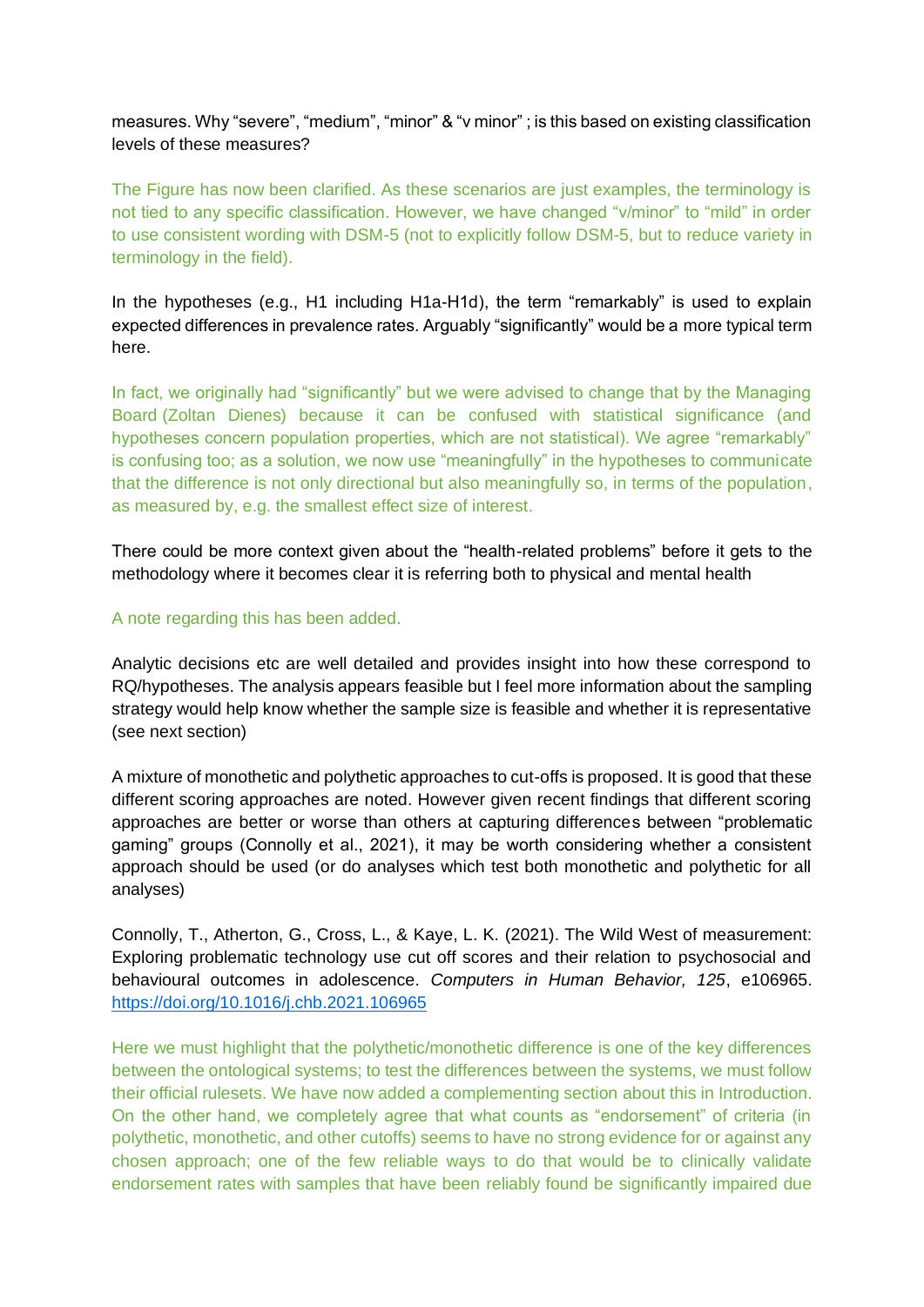measures. Why "severe", "medium", "minor" & "v minor" ; is this based on existing classification levels of these measures?

The Figure has now been clarified. As these scenarios are just examples, the terminology is not tied to any specific classification. However, we have changed "v/minor" to "mild" in order to use consistent wording with DSM-5 (not to explicitly follow DSM-5, but to reduce variety in terminology in the field).

In the hypotheses (e.g., H1 including H1a-H1d), the term "remarkably" is used to explain expected differences in prevalence rates. Arguably "significantly" would be a more typical term here.

In fact, we originally had "significantly" but we were advised to change that by the Managing Board (Zoltan Dienes) because it can be confused with statistical significance (and hypotheses concern population properties, which are not statistical). We agree "remarkably" is confusing too; as a solution, we now use "meaningfully" in the hypotheses to communicate that the difference is not only directional but also meaningfully so, in terms of the population, as measured by, e.g. the smallest effect size of interest.

There could be more context given about the "health-related problems" before it gets to the methodology where it becomes clear it is referring both to physical and mental health

### A note regarding this has been added.

Analytic decisions etc are well detailed and provides insight into how these correspond to RQ/hypotheses. The analysis appears feasible but I feel more information about the sampling strategy would help know whether the sample size is feasible and whether it is representative (see next section)

A mixture of monothetic and polythetic approaches to cut-offs is proposed. It is good that these different scoring approaches are noted. However given recent findings that different scoring approaches are better or worse than others at capturing differences between "problematic gaming" groups (Connolly et al., 2021), it may be worth considering whether a consistent approach should be used (or do analyses which test both monothetic and polythetic for all analyses)

Connolly, T., Atherton, G., Cross, L., & Kaye, L. K. (2021). The Wild West of measurement: Exploring problematic technology use cut off scores and their relation to psychosocial and behavioural outcomes in adolescence. *Computers in Human Behavior, 125*, e106965. <https://doi.org/10.1016/j.chb.2021.106965>

Here we must highlight that the polythetic/monothetic difference is one of the key differences between the ontological systems; to test the differences between the systems, we must follow their official rulesets. We have now added a complementing section about this in Introduction. On the other hand, we completely agree that what counts as "endorsement" of criteria (in polythetic, monothetic, and other cutoffs) seems to have no strong evidence for or against any chosen approach; one of the few reliable ways to do that would be to clinically validate endorsement rates with samples that have been reliably found be significantly impaired due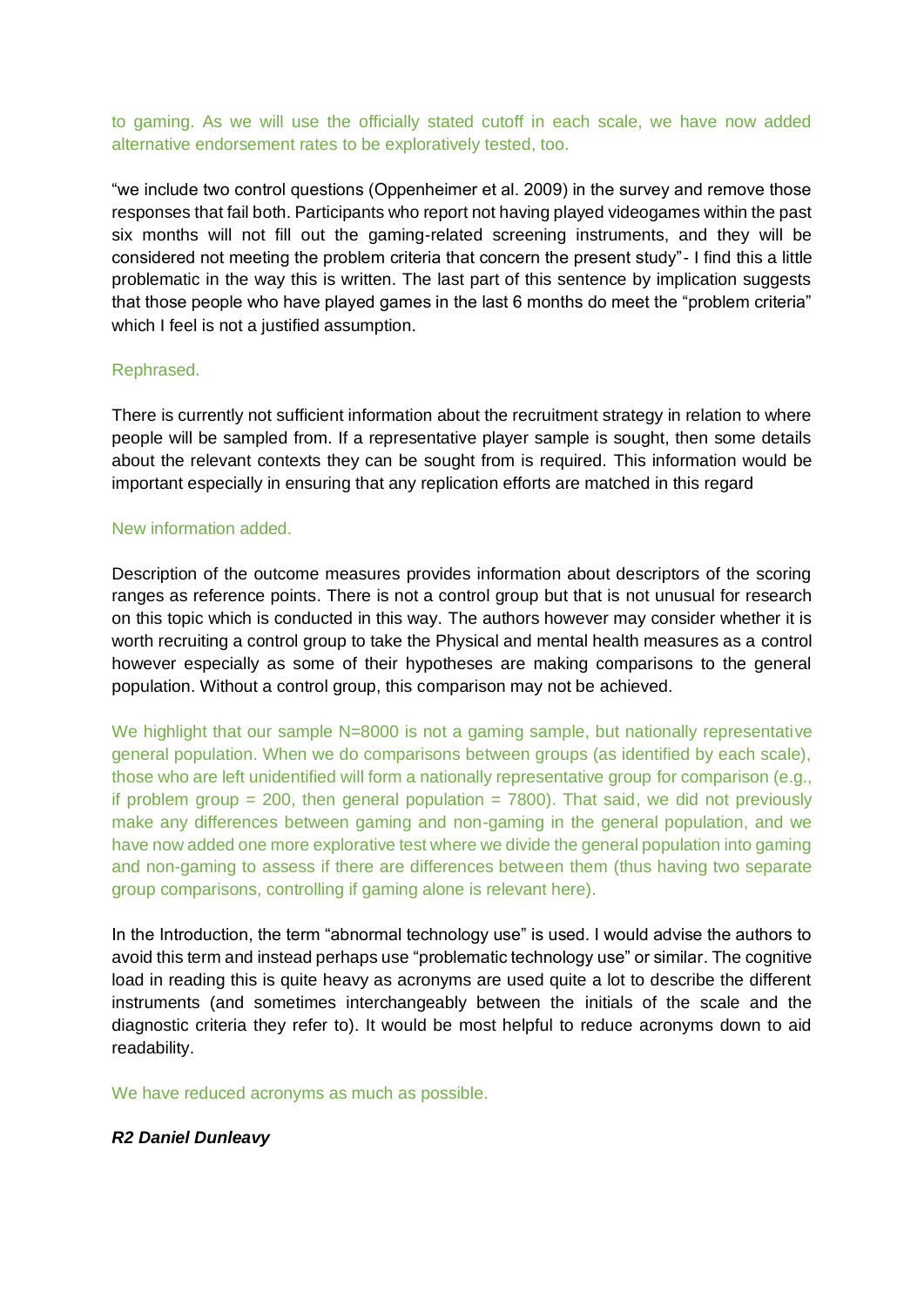to gaming. As we will use the officially stated cutoff in each scale, we have now added alternative endorsement rates to be exploratively tested, too.

"we include two control questions (Oppenheimer et al. 2009) in the survey and remove those responses that fail both. Participants who report not having played videogames within the past six months will not fill out the gaming-related screening instruments, and they will be considered not meeting the problem criteria that concern the present study"- I find this a little problematic in the way this is written. The last part of this sentence by implication suggests that those people who have played games in the last 6 months do meet the "problem criteria" which I feel is not a justified assumption.

#### Rephrased.

There is currently not sufficient information about the recruitment strategy in relation to where people will be sampled from. If a representative player sample is sought, then some details about the relevant contexts they can be sought from is required. This information would be important especially in ensuring that any replication efforts are matched in this regard

### New information added.

Description of the outcome measures provides information about descriptors of the scoring ranges as reference points. There is not a control group but that is not unusual for research on this topic which is conducted in this way. The authors however may consider whether it is worth recruiting a control group to take the Physical and mental health measures as a control however especially as some of their hypotheses are making comparisons to the general population. Without a control group, this comparison may not be achieved.

We highlight that our sample N=8000 is not a gaming sample, but nationally representative general population. When we do comparisons between groups (as identified by each scale), those who are left unidentified will form a nationally representative group for comparison (e.g., if problem group  $= 200$ , then general population  $= 7800$ ). That said, we did not previously make any differences between gaming and non-gaming in the general population, and we have now added one more explorative test where we divide the general population into gaming and non-gaming to assess if there are differences between them (thus having two separate group comparisons, controlling if gaming alone is relevant here).

In the Introduction, the term "abnormal technology use" is used. I would advise the authors to avoid this term and instead perhaps use "problematic technology use" or similar. The cognitive load in reading this is quite heavy as acronyms are used quite a lot to describe the different instruments (and sometimes interchangeably between the initials of the scale and the diagnostic criteria they refer to). It would be most helpful to reduce acronyms down to aid readability.

We have reduced acronyms as much as possible.

## *R2 Daniel Dunleavy*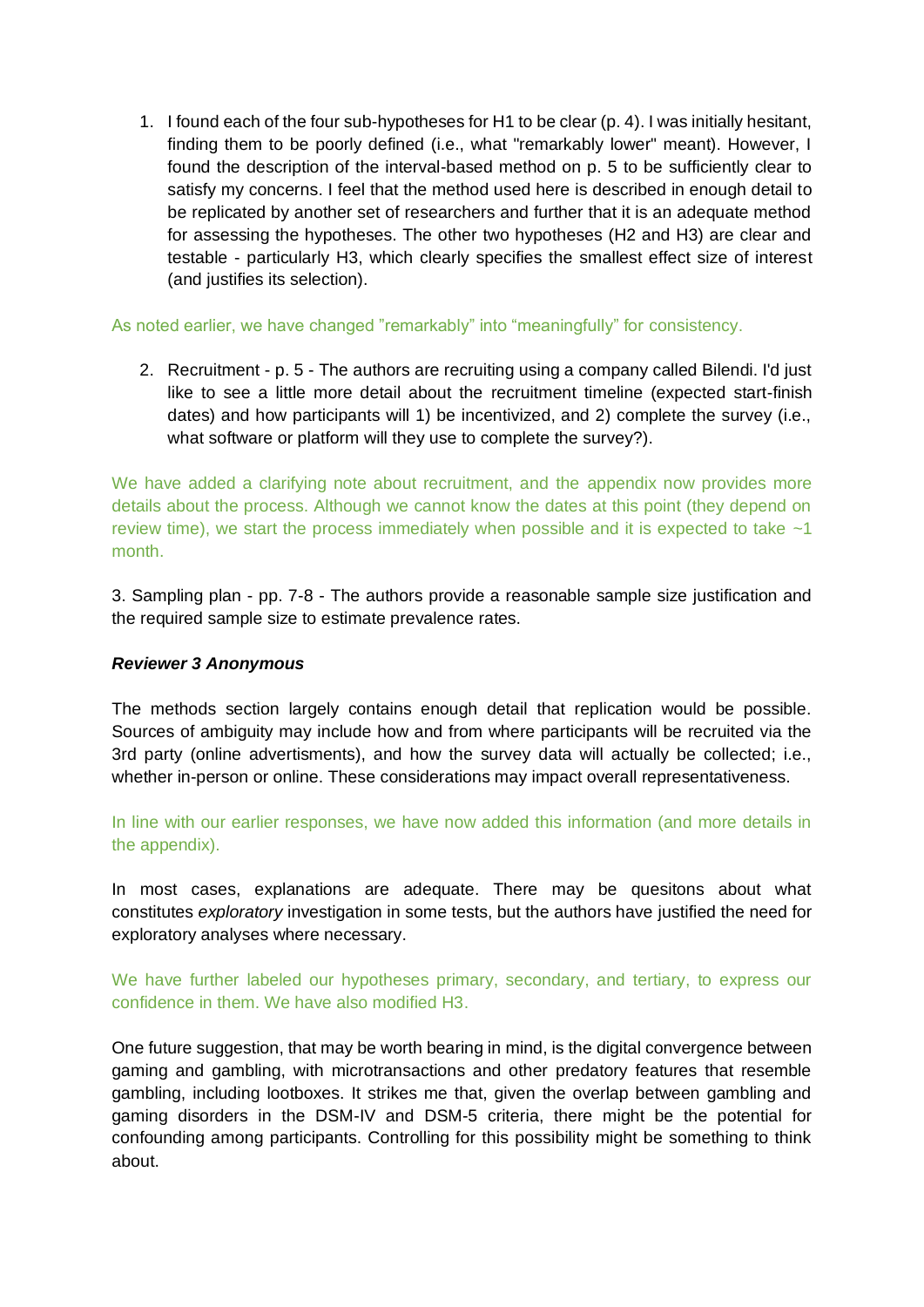1. I found each of the four sub-hypotheses for H1 to be clear (p. 4). I was initially hesitant, finding them to be poorly defined (i.e., what "remarkably lower" meant). However, I found the description of the interval-based method on p. 5 to be sufficiently clear to satisfy my concerns. I feel that the method used here is described in enough detail to be replicated by another set of researchers and further that it is an adequate method for assessing the hypotheses. The other two hypotheses (H2 and H3) are clear and testable - particularly H3, which clearly specifies the smallest effect size of interest (and justifies its selection).

## As noted earlier, we have changed "remarkably" into "meaningfully" for consistency.

2. Recruitment - p. 5 - The authors are recruiting using a company called Bilendi. I'd just like to see a little more detail about the recruitment timeline (expected start-finish dates) and how participants will 1) be incentivized, and 2) complete the survey (i.e., what software or platform will they use to complete the survey?).

We have added a clarifying note about recruitment, and the appendix now provides more details about the process. Although we cannot know the dates at this point (they depend on review time), we start the process immediately when possible and it is expected to take  $\sim$ 1 month.

3. Sampling plan - pp. 7-8 - The authors provide a reasonable sample size justification and the required sample size to estimate prevalence rates.

## *Reviewer 3 Anonymous*

The methods section largely contains enough detail that replication would be possible. Sources of ambiguity may include how and from where participants will be recruited via the 3rd party (online advertisments), and how the survey data will actually be collected; i.e., whether in-person or online. These considerations may impact overall representativeness.

In line with our earlier responses, we have now added this information (and more details in the appendix).

In most cases, explanations are adequate. There may be quesitons about what constitutes *exploratory* investigation in some tests, but the authors have justified the need for exploratory analyses where necessary.

We have further labeled our hypotheses primary, secondary, and tertiary, to express our confidence in them. We have also modified H3.

One future suggestion, that may be worth bearing in mind, is the digital convergence between gaming and gambling, with microtransactions and other predatory features that resemble gambling, including lootboxes. It strikes me that, given the overlap between gambling and gaming disorders in the DSM-IV and DSM-5 criteria, there might be the potential for confounding among participants. Controlling for this possibility might be something to think about.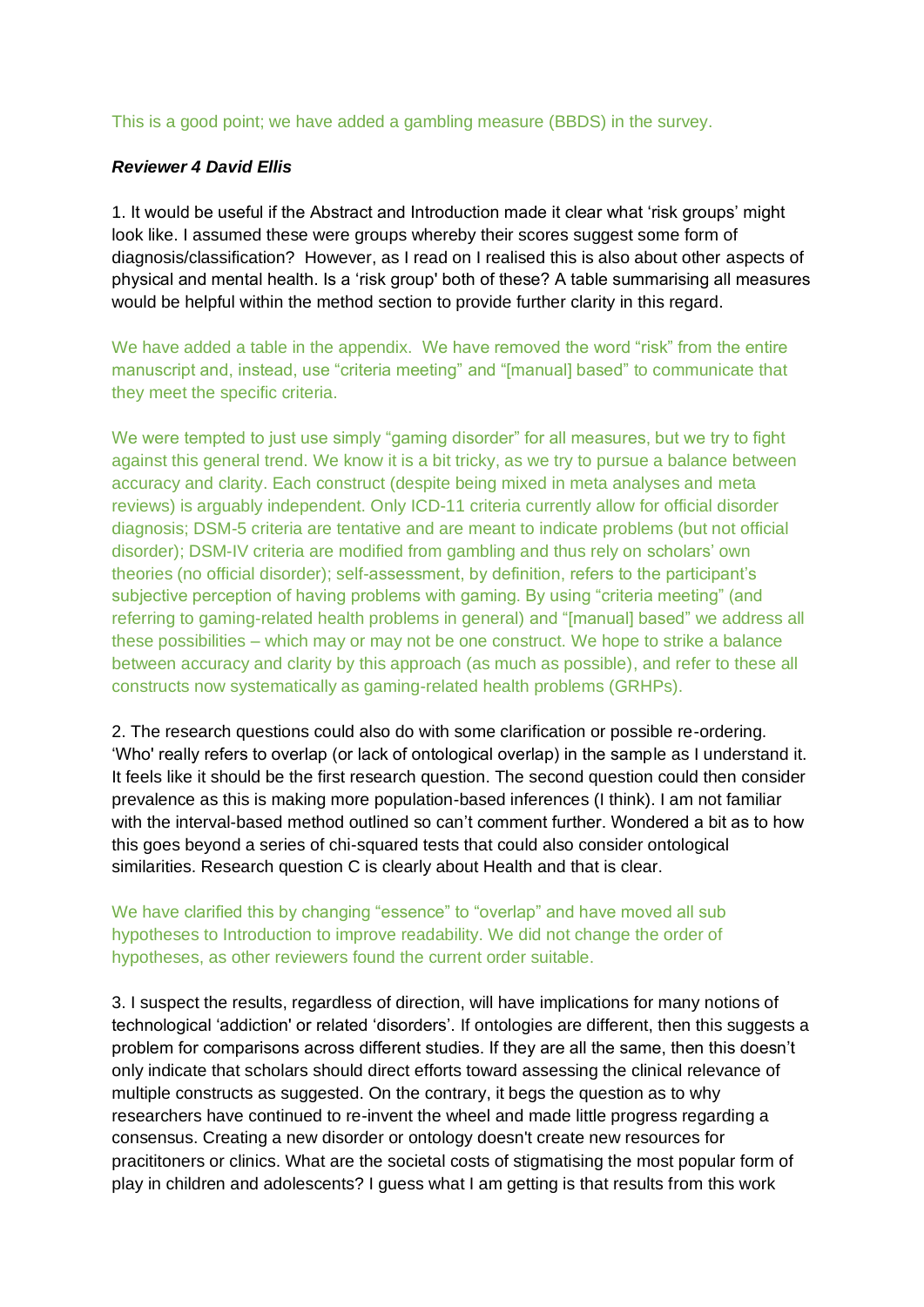### This is a good point; we have added a gambling measure (BBDS) in the survey.

### *Reviewer 4 David Ellis*

1. It would be useful if the Abstract and Introduction made it clear what 'risk groups' might look like. I assumed these were groups whereby their scores suggest some form of diagnosis/classification? However, as I read on I realised this is also about other aspects of physical and mental health. Is a 'risk group' both of these? A table summarising all measures would be helpful within the method section to provide further clarity in this regard.

We have added a table in the appendix. We have removed the word "risk" from the entire manuscript and, instead, use "criteria meeting" and "[manual] based" to communicate that they meet the specific criteria.

We were tempted to just use simply "gaming disorder" for all measures, but we try to fight against this general trend. We know it is a bit tricky, as we try to pursue a balance between accuracy and clarity. Each construct (despite being mixed in meta analyses and meta reviews) is arguably independent. Only ICD-11 criteria currently allow for official disorder diagnosis; DSM-5 criteria are tentative and are meant to indicate problems (but not official disorder); DSM-IV criteria are modified from gambling and thus rely on scholars' own theories (no official disorder); self-assessment, by definition, refers to the participant's subjective perception of having problems with gaming. By using "criteria meeting" (and referring to gaming-related health problems in general) and "[manual] based" we address all these possibilities – which may or may not be one construct. We hope to strike a balance between accuracy and clarity by this approach (as much as possible), and refer to these all constructs now systematically as gaming-related health problems (GRHPs).

2. The research questions could also do with some clarification or possible re-ordering. 'Who' really refers to overlap (or lack of ontological overlap) in the sample as I understand it. It feels like it should be the first research question. The second question could then consider prevalence as this is making more population-based inferences (I think). I am not familiar with the interval-based method outlined so can't comment further. Wondered a bit as to how this goes beyond a series of chi-squared tests that could also consider ontological similarities. Research question C is clearly about Health and that is clear.

# We have clarified this by changing "essence" to "overlap" and have moved all sub hypotheses to Introduction to improve readability. We did not change the order of hypotheses, as other reviewers found the current order suitable.

3. I suspect the results, regardless of direction, will have implications for many notions of technological 'addiction' or related 'disorders'. If ontologies are different, then this suggests a problem for comparisons across different studies. If they are all the same, then this doesn't only indicate that scholars should direct efforts toward assessing the clinical relevance of multiple constructs as suggested. On the contrary, it begs the question as to why researchers have continued to re-invent the wheel and made little progress regarding a consensus. Creating a new disorder or ontology doesn't create new resources for pracititoners or clinics. What are the societal costs of stigmatising the most popular form of play in children and adolescents? I guess what I am getting is that results from this work